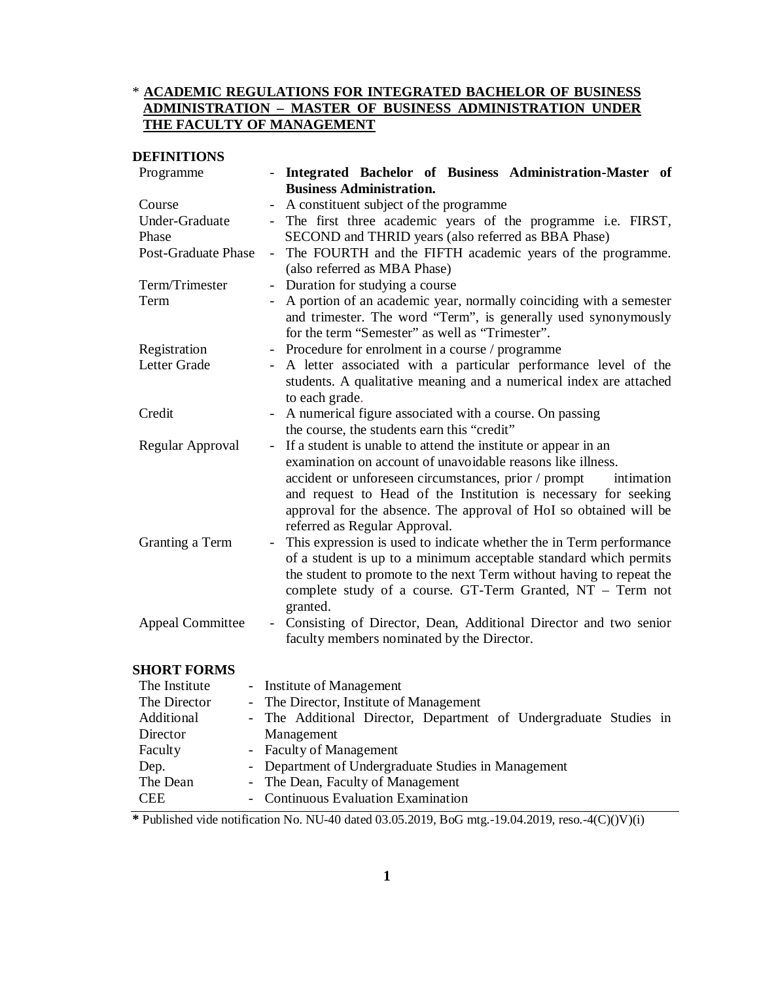# \* **ACADEMIC REGULATIONS FOR INTEGRATED BACHELOR OF BUSINESS ADMINISTRATION – MASTER OF BUSINESS ADMINISTRATION UNDER THE FACULTY OF MANAGEMENT**

## **DEFINITIONS**

| Programme                  | - Integrated Bachelor of Business Administration-Master of                                                                                                                                                                                                                                 |  |
|----------------------------|--------------------------------------------------------------------------------------------------------------------------------------------------------------------------------------------------------------------------------------------------------------------------------------------|--|
|                            | <b>Business Administration.</b>                                                                                                                                                                                                                                                            |  |
| Course                     | A constituent subject of the programme                                                                                                                                                                                                                                                     |  |
| Under-Graduate             | - The first three academic years of the programme i.e. FIRST,                                                                                                                                                                                                                              |  |
| Phase                      | SECOND and THRID years (also referred as BBA Phase)                                                                                                                                                                                                                                        |  |
| <b>Post-Graduate Phase</b> | The FOURTH and the FIFTH academic years of the programme.<br>$\equiv$<br>(also referred as MBA Phase)                                                                                                                                                                                      |  |
| Term/Trimester             | Duration for studying a course<br>$\overline{\phantom{0}}$                                                                                                                                                                                                                                 |  |
| Term                       | A portion of an academic year, normally coinciding with a semester<br>and trimester. The word "Term", is generally used synonymously<br>for the term "Semester" as well as "Trimester".                                                                                                    |  |
| Registration               | Procedure for enrolment in a course / programme                                                                                                                                                                                                                                            |  |
| Letter Grade               | A letter associated with a particular performance level of the<br>students. A qualitative meaning and a numerical index are attached<br>to each grade.                                                                                                                                     |  |
| Credit                     | A numerical figure associated with a course. On passing                                                                                                                                                                                                                                    |  |
|                            | the course, the students earn this "credit"                                                                                                                                                                                                                                                |  |
| Regular Approval           | If a student is unable to attend the institute or appear in an<br>$\blacksquare$<br>examination on account of unavoidable reasons like illness.                                                                                                                                            |  |
|                            | accident or unforeseen circumstances, prior / prompt<br>intimation<br>and request to Head of the Institution is necessary for seeking<br>approval for the absence. The approval of HoI so obtained will be<br>referred as Regular Approval.                                                |  |
| Granting a Term            | This expression is used to indicate whether the in Term performance<br>of a student is up to a minimum acceptable standard which permits<br>the student to promote to the next Term without having to repeat the<br>complete study of a course. GT-Term Granted, NT - Term not<br>granted. |  |
| <b>Appeal Committee</b>    | Consisting of Director, Dean, Additional Director and two senior<br>$\overline{\phantom{a}}$<br>faculty members nominated by the Director.                                                                                                                                                 |  |
| <b>SHORT FORMS</b>         |                                                                                                                                                                                                                                                                                            |  |
|                            |                                                                                                                                                                                                                                                                                            |  |

#### The Institute - Institute of Management The Director - The Director, Institute of Management Additional Director - The Additional Director, Department of Undergraduate Studies in Management Faculty - Faculty of Management Dep. - Department of Undergraduate Studies in Management The Dean - The Dean, Faculty of Management<br>CEE - Continuous Evaluation Examination - Continuous Evaluation Examination

**\*** Published vide notification No. NU-40 dated 03.05.2019, BoG mtg.-19.04.2019, reso.-4(C)()V)(i)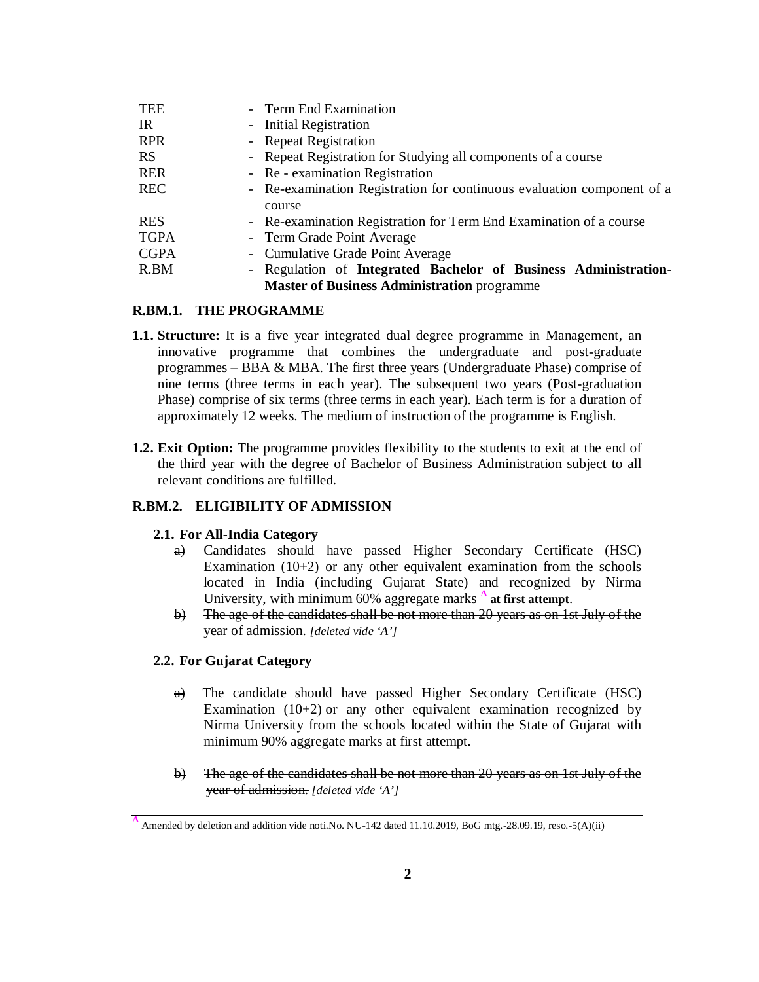| <b>TEE</b>                                         | - Term End Examination                                                 |  |
|----------------------------------------------------|------------------------------------------------------------------------|--|
| -IR                                                | - Initial Registration                                                 |  |
| <b>RPR</b>                                         | - Repeat Registration                                                  |  |
| <b>RS</b>                                          | - Repeat Registration for Studying all components of a course          |  |
| <b>RER</b>                                         | - Re - examination Registration                                        |  |
| <b>REC</b>                                         | - Re-examination Registration for continuous evaluation component of a |  |
|                                                    | course                                                                 |  |
| <b>RES</b>                                         | - Re-examination Registration for Term End Examination of a course     |  |
| <b>TGPA</b>                                        | - Term Grade Point Average                                             |  |
| <b>CGPA</b>                                        | - Cumulative Grade Point Average                                       |  |
| R.BM                                               | - Regulation of Integrated Bachelor of Business Administration-        |  |
| <b>Master of Business Administration programme</b> |                                                                        |  |

## **R.BM.1. THE PROGRAMME**

- **1.1. Structure:** It is a five year integrated dual degree programme in Management, an innovative programme that combines the undergraduate and post-graduate programmes – BBA & MBA. The first three years (Undergraduate Phase) comprise of nine terms (three terms in each year). The subsequent two years (Post-graduation Phase) comprise of six terms (three terms in each year). Each term is for a duration of approximately 12 weeks. The medium of instruction of the programme is English.
- **1.2. Exit Option:** The programme provides flexibility to the students to exit at the end of the third year with the degree of Bachelor of Business Administration subject to all relevant conditions are fulfilled.

## **R.BM.2. ELIGIBILITY OF ADMISSION**

## **2.1. For All-India Category**

- a) Candidates should have passed Higher Secondary Certificate (HSC) Examination  $(10+2)$  or any other equivalent examination from the schools located in India (including Gujarat State) and recognized by Nirma University, with minimum 60% aggregate marks **<sup>A</sup> at first attempt**.
- b) The age of the candidates shall be not more than 20 years as on 1st July of the year of admission. *[deleted vide 'A']*

## **2.2. For Gujarat Category**

- a) The candidate should have passed Higher Secondary Certificate (HSC) Examination (10+2) or any other equivalent examination recognized by Nirma University from the schools located within the State of Gujarat with minimum 90% aggregate marks at first attempt.
- $\leftrightarrow$  The age of the candidates shall be not more than 20 years as on 1st July of the year of admission. *[deleted vide 'A']*

**A** Amended by deletion and addition vide noti.No. NU-142 dated 11.10.2019, BoG mtg.-28.09.19, reso.-5(A)(ii)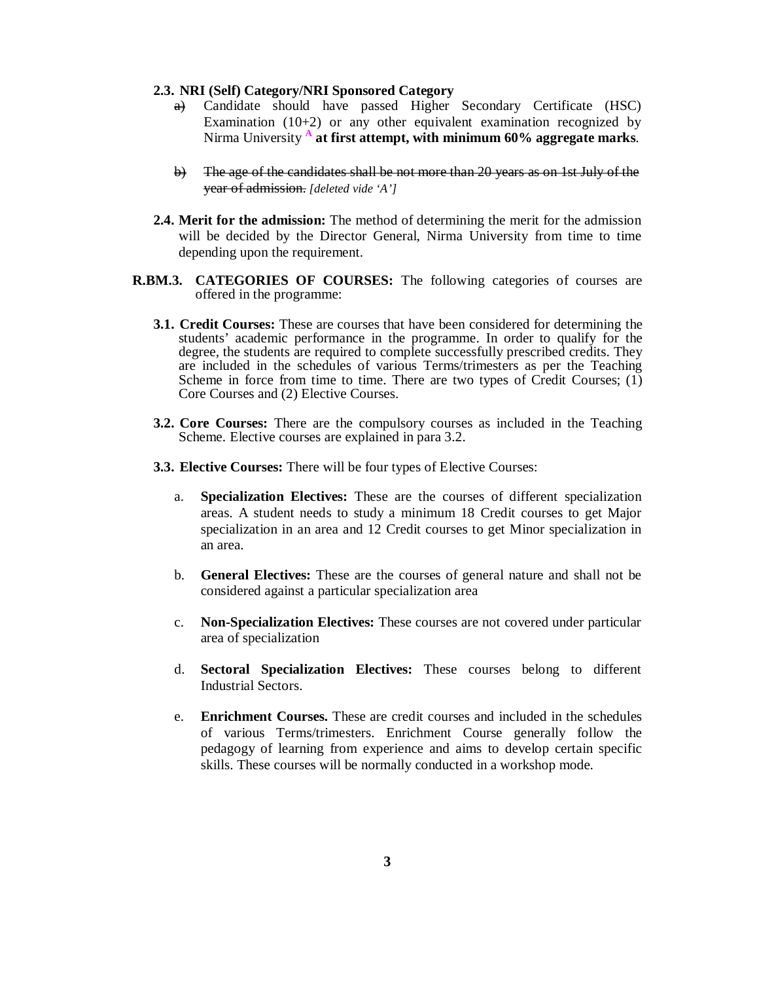#### **2.3. NRI (Self) Category/NRI Sponsored Category**

- a) Candidate should have passed Higher Secondary Certificate (HSC) Examination (10+2) or any other equivalent examination recognized by Nirma University **<sup>A</sup> at first attempt, with minimum 60% aggregate marks**.
- b) The age of the candidates shall be not more than 20 years as on 1st July of the year of admission. *[deleted vide 'A']*
- **2.4. Merit for the admission:** The method of determining the merit for the admission will be decided by the Director General, Nirma University from time to time depending upon the requirement.
- **R.BM.3. CATEGORIES OF COURSES:** The following categories of courses are offered in the programme:
	- **3.1. Credit Courses:** These are courses that have been considered for determining the students' academic performance in the programme. In order to qualify for the degree, the students are required to complete successfully prescribed credits. They are included in the schedules of various Terms/trimesters as per the Teaching Scheme in force from time to time. There are two types of Credit Courses;  $(1)$ Core Courses and (2) Elective Courses.
	- **3.2. Core Courses:** There are the compulsory courses as included in the Teaching Scheme. Elective courses are explained in para 3.2.
	- **3.3. Elective Courses:** There will be four types of Elective Courses:
		- a. **Specialization Electives:** These are the courses of different specialization areas. A student needs to study a minimum 18 Credit courses to get Major specialization in an area and 12 Credit courses to get Minor specialization in an area.
		- b. **General Electives:** These are the courses of general nature and shall not be considered against a particular specialization area
		- c. **Non-Specialization Electives:** These courses are not covered under particular area of specialization
		- d. **Sectoral Specialization Electives:** These courses belong to different Industrial Sectors.
		- e. **Enrichment Courses.** These are credit courses and included in the schedules of various Terms/trimesters. Enrichment Course generally follow the pedagogy of learning from experience and aims to develop certain specific skills. These courses will be normally conducted in a workshop mode.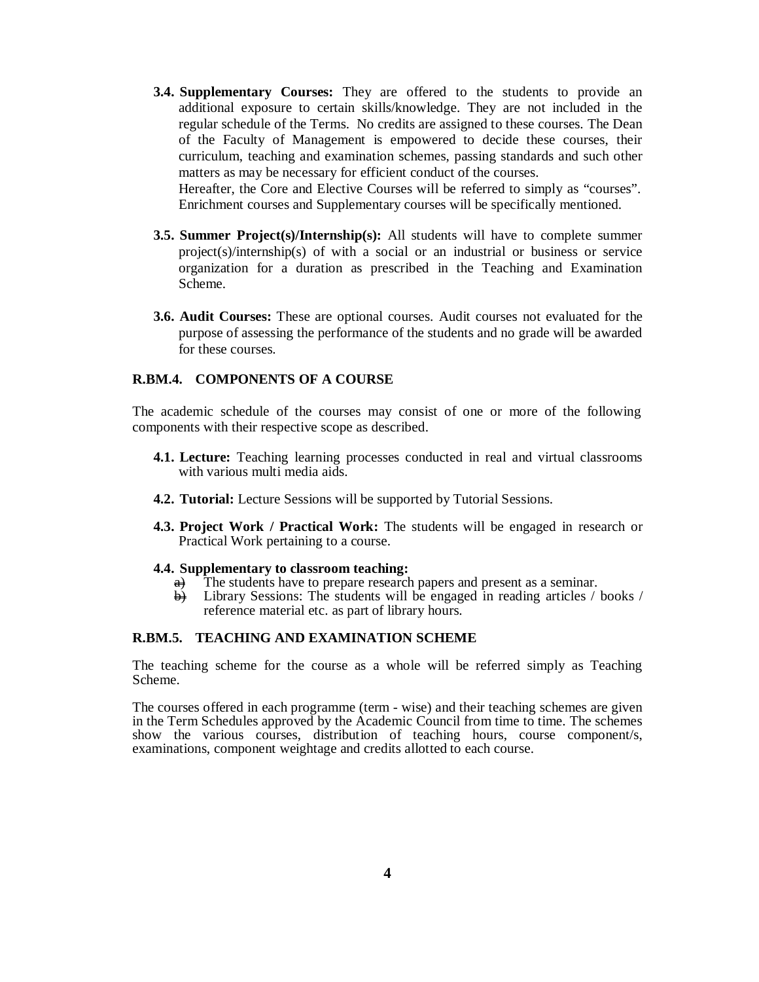**3.4. Supplementary Courses:** They are offered to the students to provide an additional exposure to certain skills/knowledge. They are not included in the regular schedule of the Terms. No credits are assigned to these courses. The Dean of the Faculty of Management is empowered to decide these courses, their curriculum, teaching and examination schemes, passing standards and such other matters as may be necessary for efficient conduct of the courses.

Hereafter, the Core and Elective Courses will be referred to simply as "courses". Enrichment courses and Supplementary courses will be specifically mentioned.

- **3.5. Summer Project(s)/Internship(s):** All students will have to complete summer project(s)/internship(s) of with a social or an industrial or business or service organization for a duration as prescribed in the Teaching and Examination Scheme.
- **3.6. Audit Courses:** These are optional courses. Audit courses not evaluated for the purpose of assessing the performance of the students and no grade will be awarded for these courses.

#### **R.BM.4. COMPONENTS OF A COURSE**

The academic schedule of the courses may consist of one or more of the following components with their respective scope as described.

- **4.1. Lecture:** Teaching learning processes conducted in real and virtual classrooms with various multi media aids.
- **4.2. Tutorial:** Lecture Sessions will be supported by Tutorial Sessions.
- **4.3. Project Work / Practical Work:** The students will be engaged in research or Practical Work pertaining to a course.

#### **4.4. Supplementary to classroom teaching:**

- $\overrightarrow{a}$  The students have to prepare research papers and present as a seminar.<br>  $\overrightarrow{b}$  Library Sessions: The students will be engaged in reading articles /
- Library Sessions: The students will be engaged in reading articles / books / reference material etc. as part of library hours.

#### **R.BM.5. TEACHING AND EXAMINATION SCHEME**

The teaching scheme for the course as a whole will be referred simply as Teaching Scheme.

The courses offered in each programme (term - wise) and their teaching schemes are given in the Term Schedules approved by the Academic Council from time to time. The schemes show the various courses, distribution of teaching hours, course component/s, examinations, component weightage and credits allotted to each course.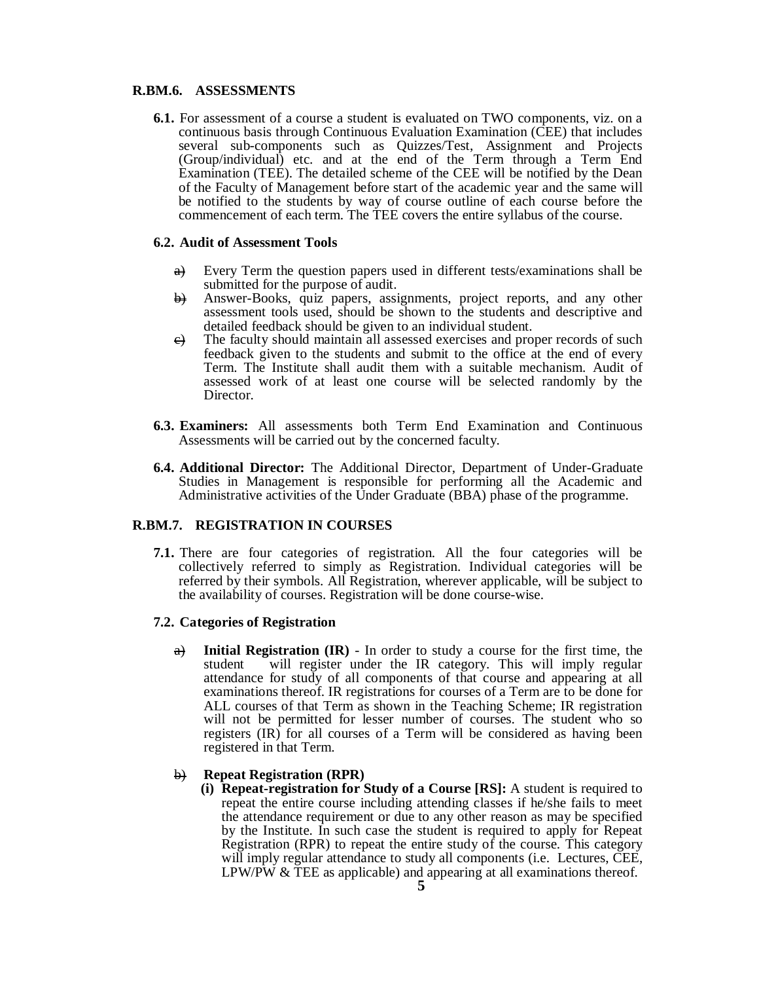## **R.BM.6. ASSESSMENTS**

**6.1.** For assessment of a course a student is evaluated on TWO components, viz. on a continuous basis through Continuous Evaluation Examination (CEE) that includes several sub-components such as Quizzes/Test, Assignment and Projects (Group/individual) etc. and at the end of the Term through a Term End Examination (TEE). The detailed scheme of the CEE will be notified by the Dean of the Faculty of Management before start of the academic year and the same will be notified to the students by way of course outline of each course before the commencement of each term. The TEE covers the entire syllabus of the course.

#### **6.2. Audit of Assessment Tools**

- $\theta$  Every Term the question papers used in different tests/examinations shall be submitted for the purpose of audit.
- b) Answer-Books, quiz papers, assignments, project reports, and any other assessment tools used, should be shown to the students and descriptive and detailed feedback should be given to an individual student.
- $e$ ) The faculty should maintain all assessed exercises and proper records of such feedback given to the students and submit to the office at the end of every Term. The Institute shall audit them with a suitable mechanism. Audit of assessed work of at least one course will be selected randomly by the Director.
- **6.3. Examiners:** All assessments both Term End Examination and Continuous Assessments will be carried out by the concerned faculty.
- **6.4. Additional Director:** The Additional Director, Department of Under-Graduate Studies in Management is responsible for performing all the Academic and Administrative activities of the Under Graduate (BBA) phase of the programme.

## **R.BM.7. REGISTRATION IN COURSES**

**7.1.** There are four categories of registration. All the four categories will be collectively referred to simply as Registration. Individual categories will be referred by their symbols. All Registration, wherever applicable, will be subject to the availability of courses. Registration will be done course-wise.

#### **7.2. Categories of Registration**

a) **Initial Registration (IR)** - In order to study a course for the first time, the student will register under the IR category. This will imply regular attendance for study of all components of that course and appearing at all examinations thereof. IR registrations for courses of a Term are to be done for ALL courses of that Term as shown in the Teaching Scheme; IR registration will not be permitted for lesser number of courses. The student who so registers (IR) for all courses of a Term will be considered as having been registered in that Term.

#### b) **Repeat Registration (RPR)**

**(i) Repeat-registration for Study of a Course [RS]:** A student is required to repeat the entire course including attending classes if he/she fails to meet the attendance requirement or due to any other reason as may be specified by the Institute. In such case the student is required to apply for Repeat Registration (RPR) to repeat the entire study of the course. This category will imply regular attendance to study all components (i.e. Lectures, CEE, LPW/PW  $&$  TEE as applicable) and appearing at all examinations thereof.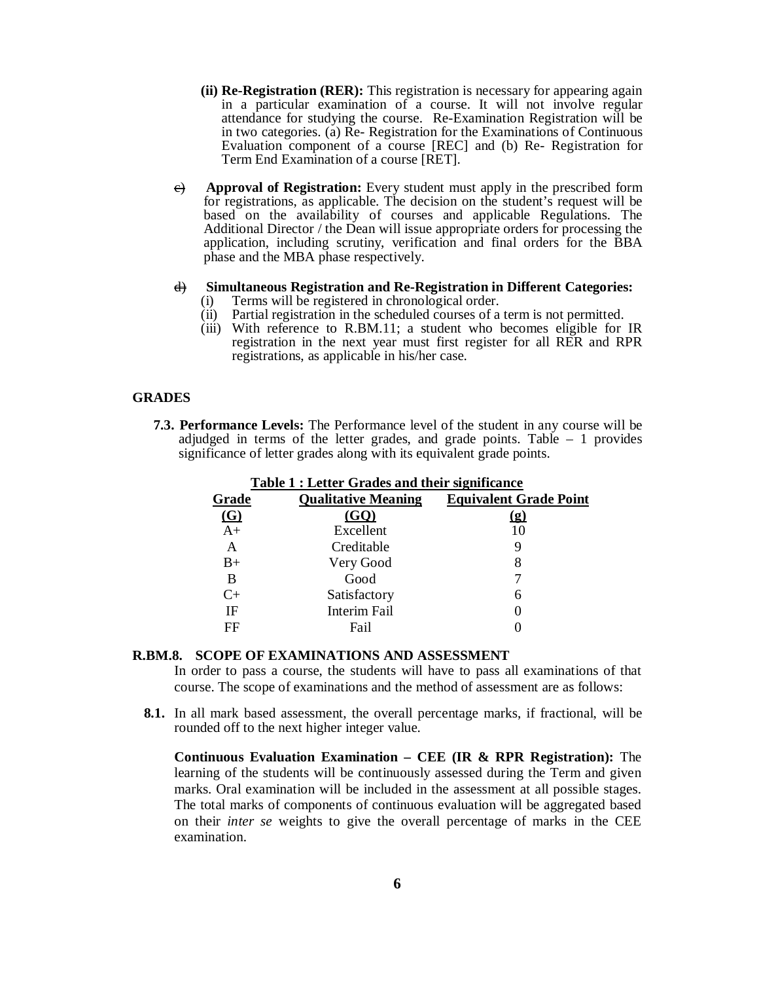- **(ii) Re-Registration (RER):** This registration is necessary for appearing again in a particular examination of a course. It will not involve regular attendance for studying the course. Re-Examination Registration will be in two categories. (a) Re- Registration for the Examinations of Continuous Evaluation component of a course [REC] and (b) Re- Registration for Term End Examination of a course [RET].
- c) **Approval of Registration:** Every student must apply in the prescribed form for registrations, as applicable. The decision on the student's request will be based on the availability of courses and applicable Regulations. The Additional Director / the Dean will issue appropriate orders for processing the application, including scrutiny, verification and final orders for the BBA phase and the MBA phase respectively.

# d) **Simultaneous Registration and Re-Registration in Different Categories:**

- Terms will be registered in chronological order.
- (ii) Partial registration in the scheduled courses of a term is not permitted.
- (iii) With reference to R.BM.11; a student who becomes eligible for IR registration in the next year must first register for all RER and RPR registrations, as applicable in his/her case.

## **GRADES**

**7.3. Performance Levels:** The Performance level of the student in any course will be adjudged in terms of the letter grades, and grade points. Table  $-1$  provides significance of letter grades along with its equivalent grade points.

| Table 1 : Letter Grades and their significance |                            |                               |  |  |
|------------------------------------------------|----------------------------|-------------------------------|--|--|
| <u>Grade</u>                                   | <b>Qualitative Meaning</b> | <b>Equivalent Grade Point</b> |  |  |
| $\Omega$                                       | (GO)                       | <u>(g)</u>                    |  |  |
| $A+$                                           | Excellent                  | 10                            |  |  |
| A                                              | Creditable                 | 9                             |  |  |
| $B+$                                           | Very Good                  | 8                             |  |  |
| B                                              | Good                       |                               |  |  |
| C+                                             | Satisfactory               | 6                             |  |  |
| IF                                             | Interim Fail               |                               |  |  |
| FF                                             | Fail                       |                               |  |  |
|                                                |                            |                               |  |  |

**Table 1 : Letter Grades and their significance**

#### **R.BM.8. SCOPE OF EXAMINATIONS AND ASSESSMENT**

In order to pass a course, the students will have to pass all examinations of that course. The scope of examinations and the method of assessment are as follows:

**8.1.** In all mark based assessment, the overall percentage marks, if fractional, will be rounded off to the next higher integer value.

**Continuous Evaluation Examination – CEE (IR & RPR Registration):** The learning of the students will be continuously assessed during the Term and given marks. Oral examination will be included in the assessment at all possible stages. The total marks of components of continuous evaluation will be aggregated based on their *inter se* weights to give the overall percentage of marks in the CEE examination.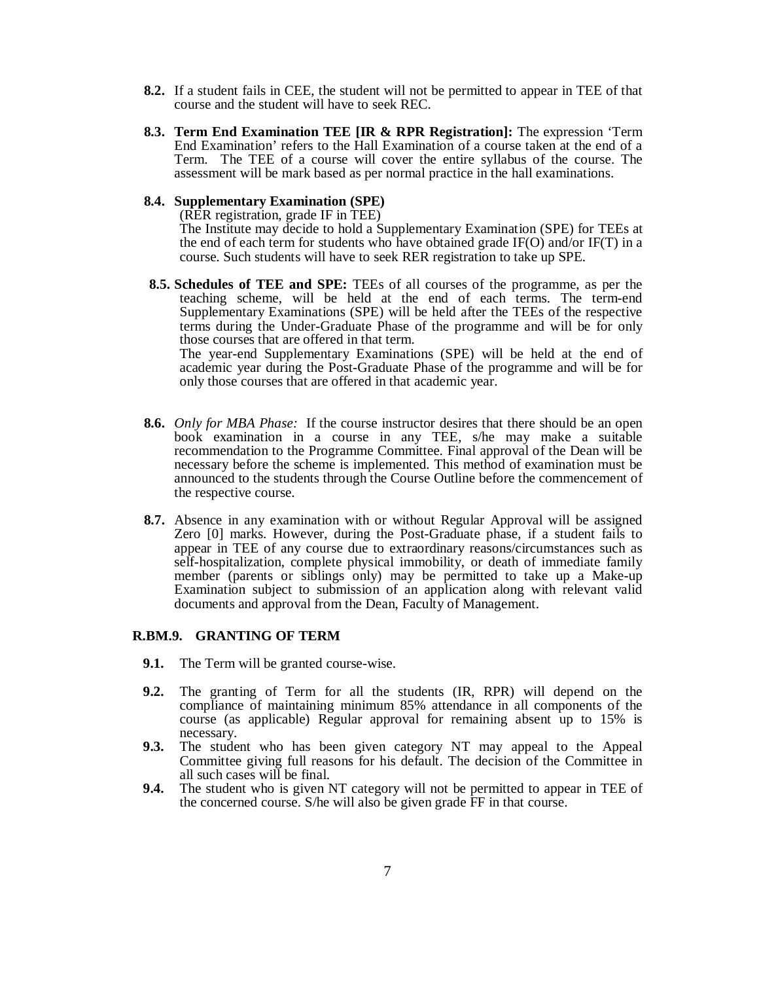- **8.2.** If a student fails in CEE, the student will not be permitted to appear in TEE of that course and the student will have to seek REC.
- **8.3. Term End Examination TEE [IR & RPR Registration]:** The expression 'Term End Examination' refers to the Hall Examination of a course taken at the end of a Term. The TEE of a course will cover the entire syllabus of the course. The assessment will be mark based as per normal practice in the hall examinations.

#### **8.4. Supplementary Examination (SPE)**

(RER registration, grade IF in TEE) The Institute may decide to hold a Supplementary Examination (SPE) for TEEs at the end of each term for students who have obtained grade IF(O) and/or IF(T) in a course. Such students will have to seek RER registration to take up SPE.

**8.5. Schedules of TEE and SPE:** TEEs of all courses of the programme, as per the teaching scheme, will be held at the end of each terms. The term-end Supplementary Examinations (SPE) will be held after the TEEs of the respective terms during the Under-Graduate Phase of the programme and will be for only those courses that are offered in that term. The year-end Supplementary Examinations (SPE) will be held at the end of

academic year during the Post-Graduate Phase of the programme and will be for only those courses that are offered in that academic year.

- **8.6.** *Only for MBA Phase:* If the course instructor desires that there should be an open book examination in a course in any TEE, s/he may make a suitable recommendation to the Programme Committee. Final approval of the Dean will be necessary before the scheme is implemented. This method of examination must be announced to the students through the Course Outline before the commencement of the respective course.
- **8.7.** Absence in any examination with or without Regular Approval will be assigned Zero [0] marks. However, during the Post-Graduate phase, if a student fails to appear in TEE of any course due to extraordinary reasons/circumstances such as self-hospitalization, complete physical immobility, or death of immediate family member (parents or siblings only) may be permitted to take up a Make-up Examination subject to submission of an application along with relevant valid documents and approval from the Dean, Faculty of Management.

## **R.BM.9. GRANTING OF TERM**

- **9.1.** The Term will be granted course-wise.
- **9.2.** The granting of Term for all the students (IR, RPR) will depend on the compliance of maintaining minimum 85% attendance in all components of the course (as applicable) Regular approval for remaining absent up to 15% is necessary.
- **9.3.** The student who has been given category NT may appeal to the Appeal Committee giving full reasons for his default. The decision of the Committee in all such cases will be final.
- **9.4.** The student who is given NT category will not be permitted to appear in TEE of the concerned course. S/he will also be given grade FF in that course.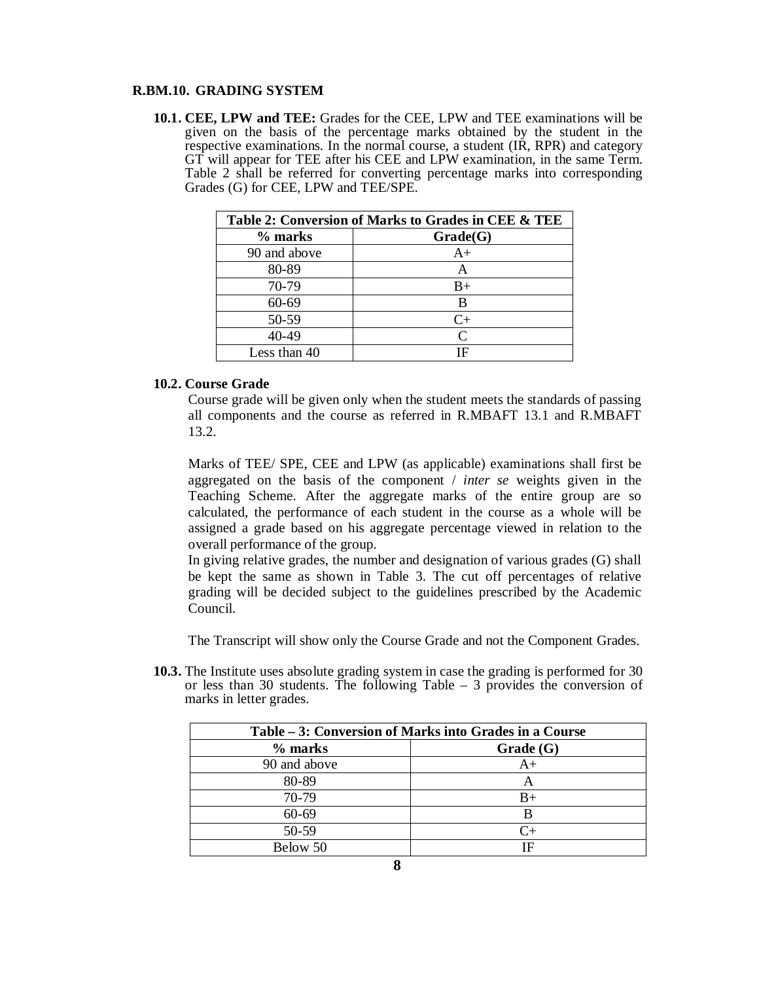## **R.BM.10. GRADING SYSTEM**

**10.1. CEE, LPW and TEE:** Grades for the CEE, LPW and TEE examinations will be given on the basis of the percentage marks obtained by the student in the respective examinations. In the normal course, a student (IR, RPR) and category GT will appear for TEE after his CEE and LPW examination, in the same Term. Table 2 shall be referred for converting percentage marks into corresponding Grades (G) for CEE, LPW and TEE/SPE.

| Table 2: Conversion of Marks to Grades in CEE & TEE |           |  |
|-----------------------------------------------------|-----------|--|
| % marks                                             | Grade(G)  |  |
| 90 and above                                        | $A+$      |  |
| 80-89                                               | A         |  |
| 70-79                                               | B+        |  |
| 60-69                                               | В         |  |
| 50-59                                               | $C+$      |  |
| 40-49                                               | $\subset$ |  |
| Less than 40                                        | ΙF        |  |

# **10.2. Course Grade**

Course grade will be given only when the student meets the standards of passing all components and the course as referred in R.MBAFT 13.1 and R.MBAFT 13.2.

Marks of TEE/ SPE, CEE and LPW (as applicable) examinations shall first be aggregated on the basis of the component / *inter se* weights given in the Teaching Scheme. After the aggregate marks of the entire group are so calculated, the performance of each student in the course as a whole will be assigned a grade based on his aggregate percentage viewed in relation to the overall performance of the group.

In giving relative grades, the number and designation of various grades (G) shall be kept the same as shown in Table 3. The cut off percentages of relative grading will be decided subject to the guidelines prescribed by the Academic Council.

The Transcript will show only the Course Grade and not the Component Grades.

**10.3.** The Institute uses absolute grading system in case the grading is performed for 30 or less than 30 students. The following Table – 3 provides the conversion of marks in letter grades.

| Table – 3: Conversion of Marks into Grades in a Course |          |  |
|--------------------------------------------------------|----------|--|
| % marks                                                | Grade(G) |  |
| 90 and above                                           | $A+$     |  |
| 80-89                                                  | A        |  |
| 70-79                                                  | $B+$     |  |
| $60 - 69$                                              | B        |  |
| 50-59                                                  | $C_{+}$  |  |
| Below 50                                               | ΙF       |  |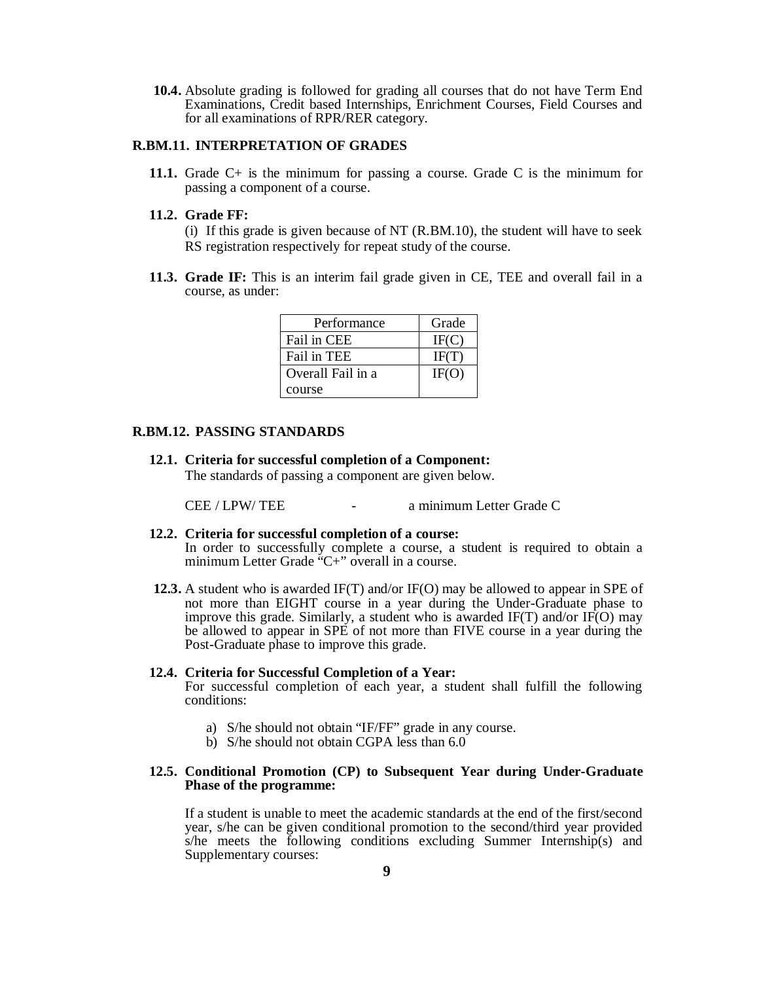**10.4.** Absolute grading is followed for grading all courses that do not have Term End Examinations, Credit based Internships, Enrichment Courses, Field Courses and for all examinations of RPR/RER category.

## **R.BM.11. INTERPRETATION OF GRADES**

**11.1.** Grade C+ is the minimum for passing a course. Grade C is the minimum for passing a component of a course.

#### **11.2. Grade FF:**

(i) If this grade is given because of NT (R.BM.10), the student will have to seek RS registration respectively for repeat study of the course.

**11.3. Grade IF:** This is an interim fail grade given in CE, TEE and overall fail in a course, as under:

| Performance       | Grade |
|-------------------|-------|
| Fail in CEE       | IF(C) |
| Fail in TEE       | IF(T) |
| Overall Fail in a | IF(O) |
| course            |       |

## **R.BM.12. PASSING STANDARDS**

**12.1. Criteria for successful completion of a Component:** 

The standards of passing a component are given below.

CEE / LPW/ TEE - a minimum Letter Grade C

#### **12.2. Criteria for successful completion of a course:**

In order to successfully complete a course, a student is required to obtain a minimum Letter Grade "C+" overall in a course.

**12.3.** A student who is awarded IF(T) and/or IF(O) may be allowed to appear in SPE of not more than EIGHT course in a year during the Under-Graduate phase to improve this grade. Similarly, a student who is awarded IF(T) and/or IF(O) may be allowed to appear in SPE of not more than FIVE course in a year during the Post-Graduate phase to improve this grade.

#### **12.4. Criteria for Successful Completion of a Year:**

For successful completion of each year, a student shall fulfill the following conditions:

- a) S/he should not obtain "IF/FF" grade in any course.
- b) S/he should not obtain CGPA less than 6.0

## **12.5. Conditional Promotion (CP) to Subsequent Year during Under-Graduate Phase of the programme:**

If a student is unable to meet the academic standards at the end of the first/second year, s/he can be given conditional promotion to the second/third year provided s/he meets the following conditions excluding Summer Internship(s) and Supplementary courses: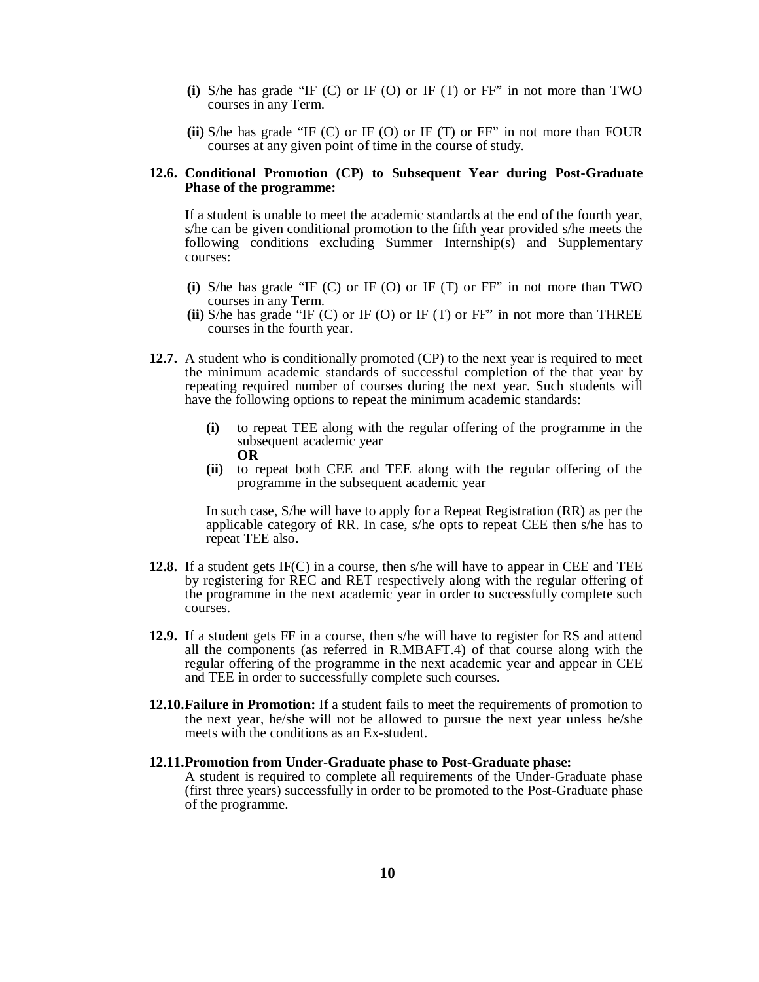- **(i)** S/he has grade "IF (C) or IF (O) or IF (T) or FF" in not more than TWO courses in any Term.
- **(ii)** S/he has grade "IF (C) or IF (O) or IF (T) or FF" in not more than FOUR courses at any given point of time in the course of study.

#### **12.6. Conditional Promotion (CP) to Subsequent Year during Post-Graduate Phase of the programme:**

If a student is unable to meet the academic standards at the end of the fourth year, s/he can be given conditional promotion to the fifth year provided s/he meets the following conditions excluding Summer Internship(s) and Supplementary courses:

- **(i)** S/he has grade "IF (C) or IF (O) or IF (T) or FF" in not more than TWO courses in any Term.
- **(ii)** S/he has grade "IF (C) or IF (O) or IF (T) or FF" in not more than THREE courses in the fourth year.
- **12.7.** A student who is conditionally promoted (CP) to the next year is required to meet the minimum academic standards of successful completion of the that year by repeating required number of courses during the next year. Such students will have the following options to repeat the minimum academic standards:
	- **(i)** to repeat TEE along with the regular offering of the programme in the subsequent academic year **OR**
	- **(ii)** to repeat both CEE and TEE along with the regular offering of the programme in the subsequent academic year

In such case, S/he will have to apply for a Repeat Registration (RR) as per the applicable category of RR. In case, s/he opts to repeat CEE then s/he has to repeat TEE also.

- **12.8.** If a student gets IF(C) in a course, then s/he will have to appear in CEE and TEE by registering for REC and RET respectively along with the regular offering of the programme in the next academic year in order to successfully complete such courses.
- **12.9.** If a student gets FF in a course, then s/he will have to register for RS and attend all the components (as referred in R.MBAFT.4) of that course along with the regular offering of the programme in the next academic year and appear in CEE and TEE in order to successfully complete such courses.
- **12.10.Failure in Promotion:** If a student fails to meet the requirements of promotion to the next year, he/she will not be allowed to pursue the next year unless he/she meets with the conditions as an Ex-student.

#### **12.11.Promotion from Under-Graduate phase to Post-Graduate phase:**  A student is required to complete all requirements of the Under-Graduate phase (first three years) successfully in order to be promoted to the Post-Graduate phase of the programme.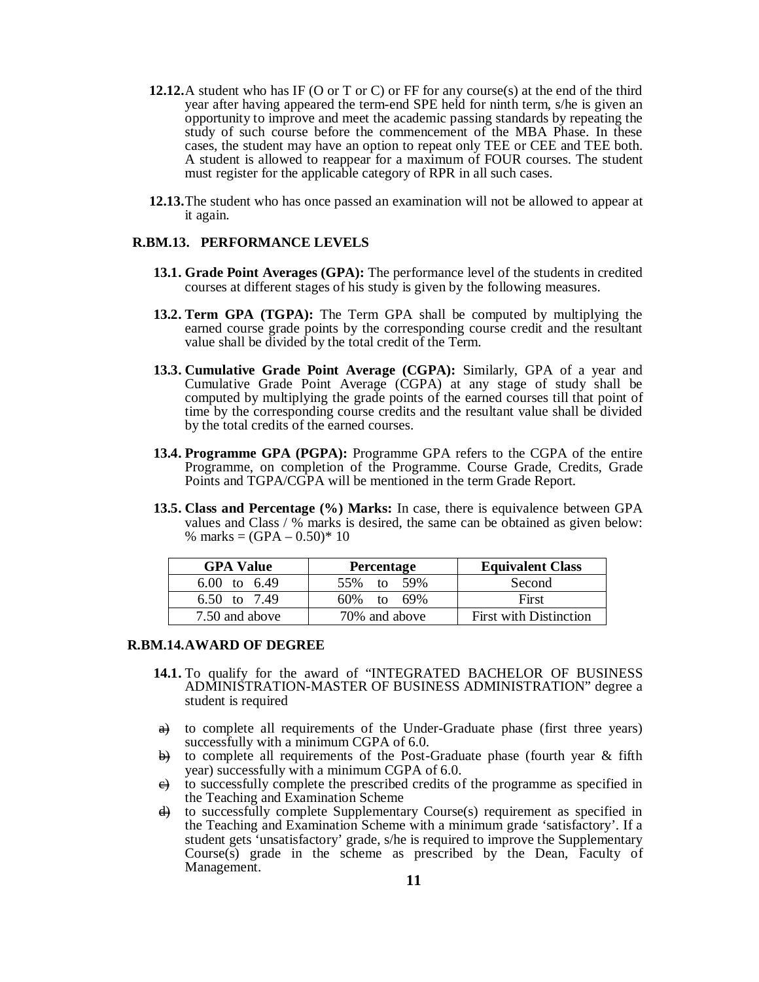- **12.12.**A student who has IF (O or T or C) or FF for any course(s) at the end of the third year after having appeared the term-end SPE held for ninth term, s/he is given an opportunity to improve and meet the academic passing standards by repeating the study of such course before the commencement of the MBA Phase. In these cases, the student may have an option to repeat only TEE or CEE and TEE both. A student is allowed to reappear for a maximum of FOUR courses. The student must register for the applicable category of RPR in all such cases.
- **12.13.**The student who has once passed an examination will not be allowed to appear at it again.

## **R.BM.13. PERFORMANCE LEVELS**

- **13.1. Grade Point Averages (GPA):** The performance level of the students in credited courses at different stages of his study is given by the following measures.
- **13.2. Term GPA (TGPA):** The Term GPA shall be computed by multiplying the earned course grade points by the corresponding course credit and the resultant value shall be divided by the total credit of the Term.
- **13.3. Cumulative Grade Point Average (CGPA):** Similarly, GPA of a year and Cumulative Grade Point Average (CGPA) at any stage of study shall be computed by multiplying the grade points of the earned courses till that point of time by the corresponding course credits and the resultant value shall be divided by the total credits of the earned courses.
- **13.4. Programme GPA (PGPA):** Programme GPA refers to the CGPA of the entire Programme, on completion of the Programme. Course Grade, Credits, Grade Points and TGPA/CGPA will be mentioned in the term Grade Report.
- **13.5. Class and Percentage (%) Marks:** In case, there is equivalence between GPA values and Class / % marks is desired, the same can be obtained as given below: % marks =  $(GPA - 0.50)$  \* 10

| <b>GPA Value</b>        | <b>Percentage</b> | <b>Equivalent Class</b>       |
|-------------------------|-------------------|-------------------------------|
| $6.00 \text{ to } 6.49$ | 55% to 59%        | Second                        |
| 6.50 to 7.49            | $60\%$ to $69\%$  | First                         |
| 7.50 and above          | 70% and above     | <b>First with Distinction</b> |

#### **R.BM.14.AWARD OF DEGREE**

- **14.1.** To qualify for the award of "INTEGRATED BACHELOR OF BUSINESS ADMINISTRATION-MASTER OF BUSINESS ADMINISTRATION" degree a student is required
- a) to complete all requirements of the Under-Graduate phase (first three years) successfully with a minimum CGPA of 6.0.
- $\rightarrow$  to complete all requirements of the Post-Graduate phase (fourth year & fifth year) successfully with a minimum CGPA of 6.0.
- $\overrightarrow{e}$  to successfully complete the prescribed credits of the programme as specified in the Teaching and Examination Scheme
- $\overrightarrow{d}$  to successfully complete Supplementary Course(s) requirement as specified in the Teaching and Examination Scheme with a minimum grade 'satisfactory'. If a student gets 'unsatisfactory' grade, s/he is required to improve the Supplementary  $Course(s)$  grade in the scheme as prescribed by the Dean, Faculty of Management.